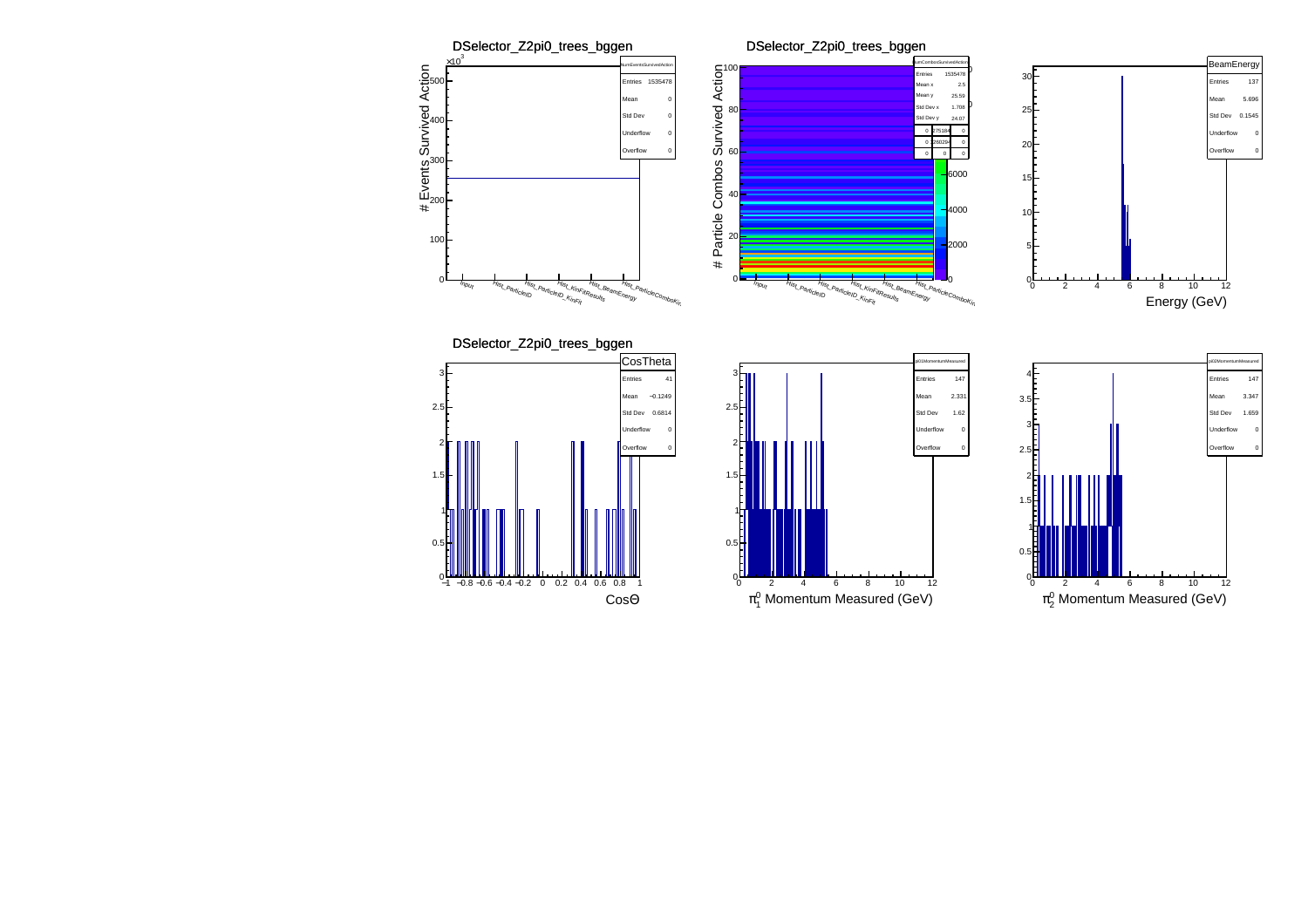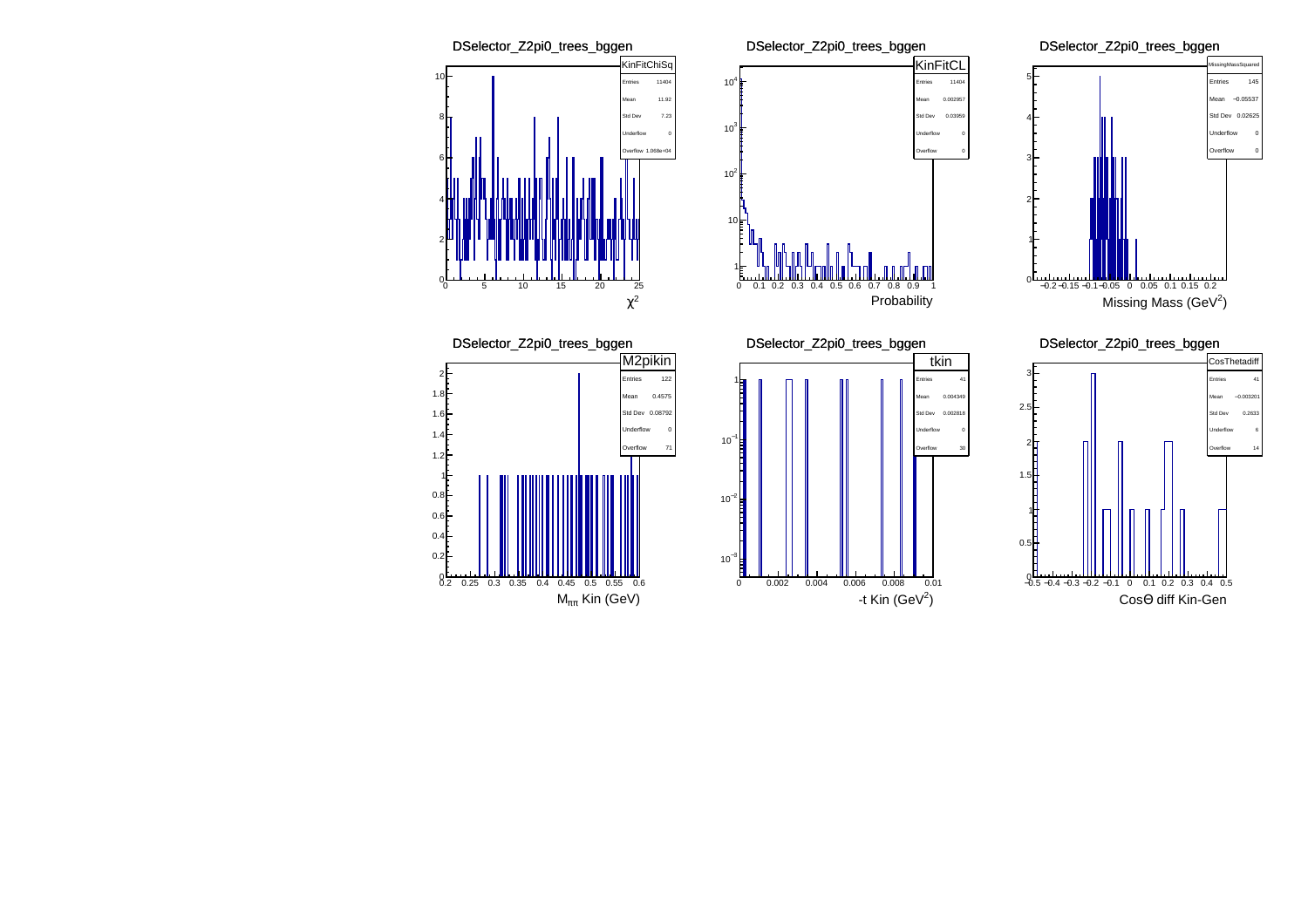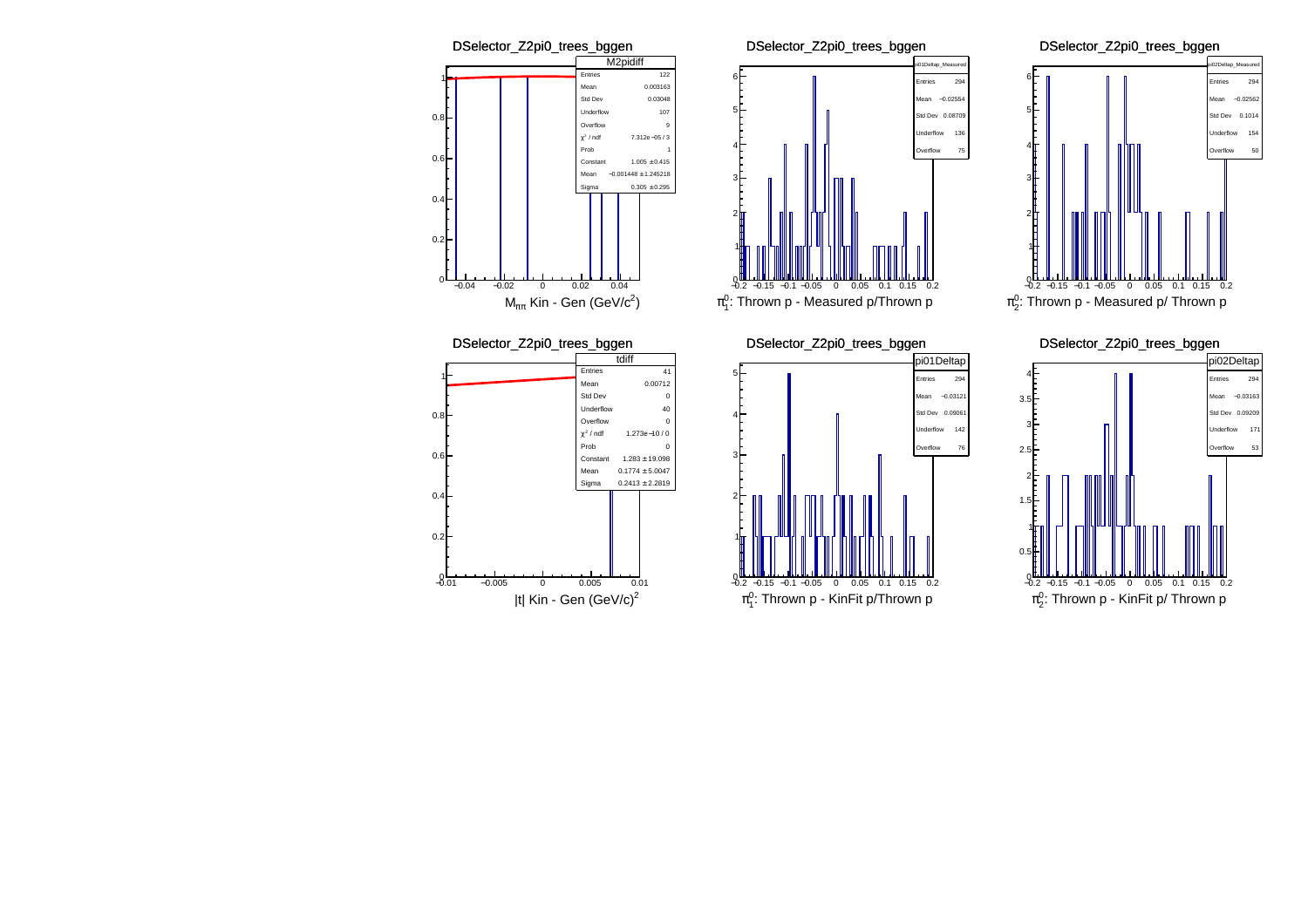





 $\pi^0_1$ : Thrown p - KinFit p/Thrown p

<sup>−</sup>0.15 <sup>−</sup>0.1 <sup>−</sup>0.05 <sup>0</sup> 0.05 0.1 0.15 0.2

 $-0.2$ 



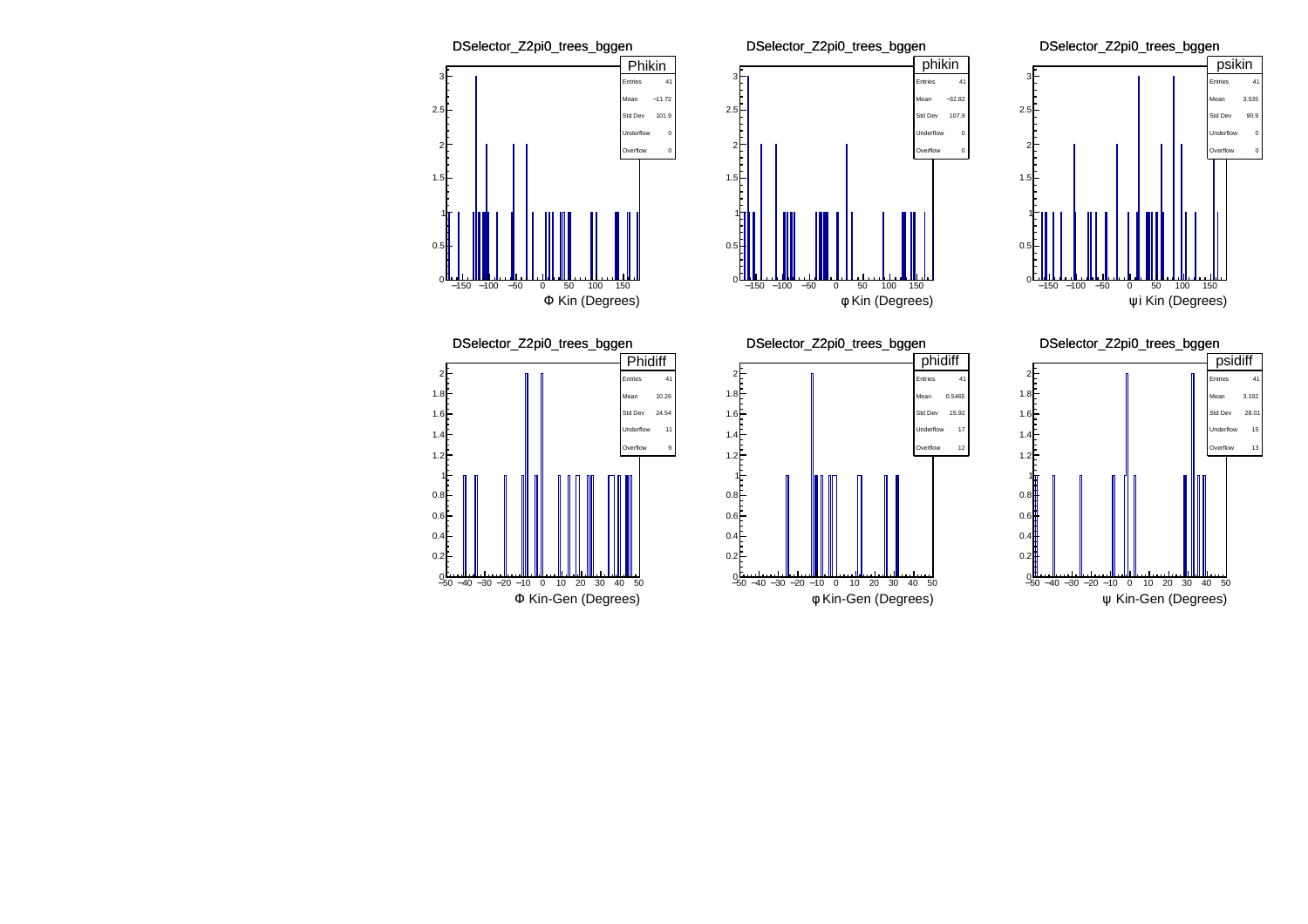